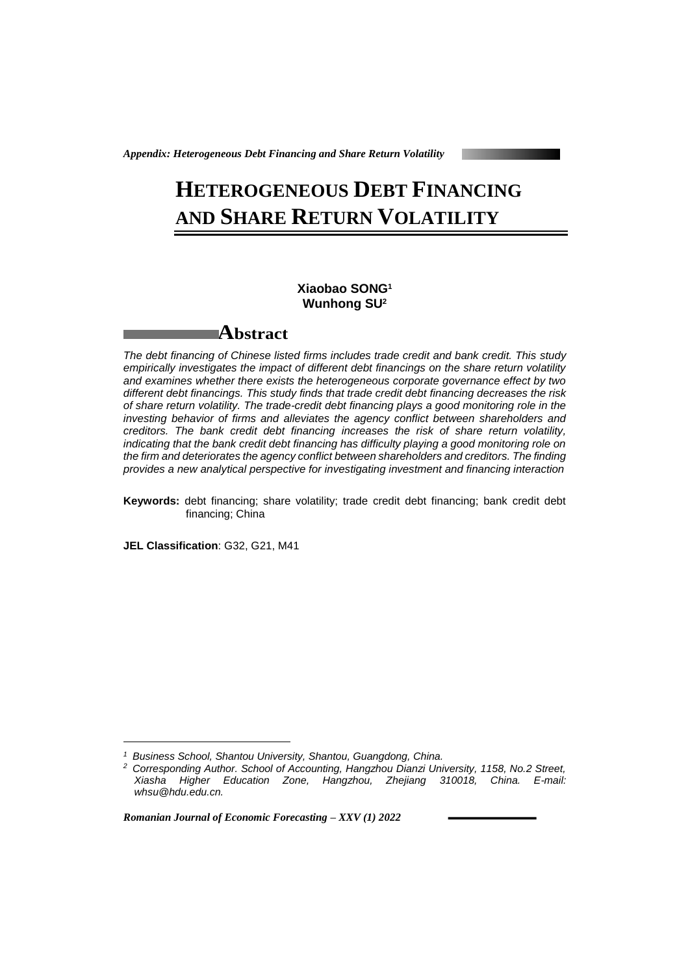*Appendix: Heterogeneous Debt Financing and Share Return Volatility*

## **HETEROGENEOUS DEBT FINANCING AND SHARE RETURN VOLATILITY**

## **Xiaobao SONG<sup>1</sup> Wunhong SU<sup>2</sup>**

## **Abstract**

*The debt financing of Chinese listed firms includes trade credit and bank credit. This study empirically investigates the impact of different debt financings on the share return volatility and examines whether there exists the heterogeneous corporate governance effect by two different debt financings. This study finds that trade credit debt financing decreases the risk of share return volatility. The trade-credit debt financing plays a good monitoring role in the investing behavior of firms and alleviates the agency conflict between shareholders and creditors. The bank credit debt financing increases the risk of share return volatility, indicating that the bank credit debt financing has difficulty playing a good monitoring role on the firm and deteriorates the agency conflict between shareholders and creditors. The finding provides a new analytical perspective for investigating investment and financing interaction*

**Keywords:** debt financing; share volatility; trade credit debt financing; bank credit debt financing; China

**JEL Classification**: G32, G21, M41

1

*Romanian Journal of Economic Forecasting – XXV (1) 2022*

*<sup>1</sup> Business School, Shantou University, Shantou, Guangdong, China.*

*<sup>2</sup> Corresponding Author. School of Accounting, Hangzhou Dianzi University, 1158, No.2 Street, Xiasha Higher Education Zone, Hangzhou, Zhejiang 310018, China. E-mail: whsu@hdu.edu.cn.*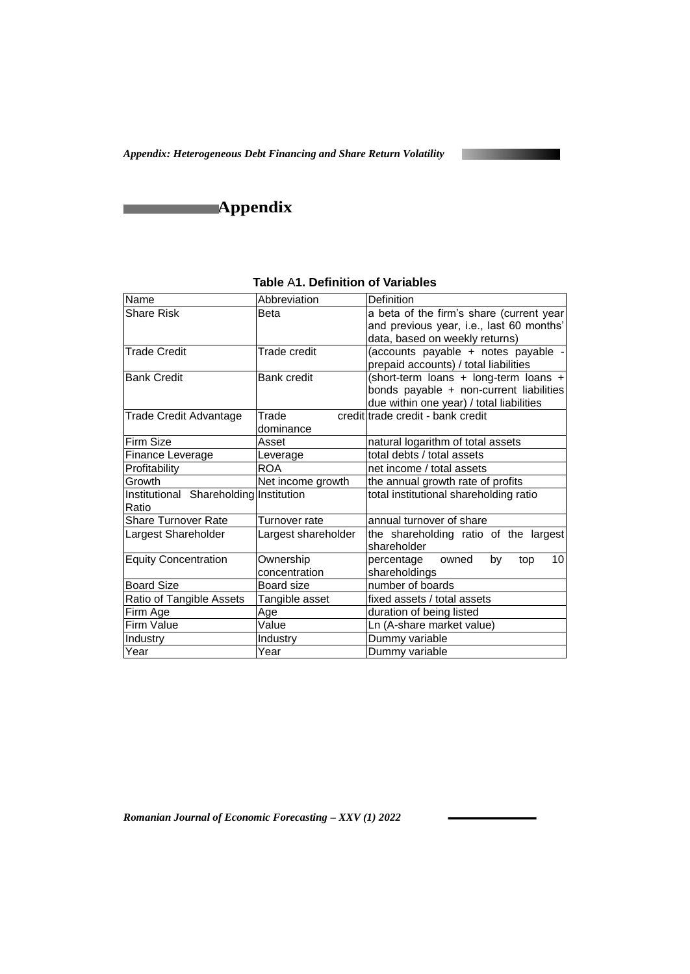*Appendix: Heterogeneous Debt Financing and Share Return Volatility*



**Appendix** 

| Name                                   | Abbreviation        | Definition                                                                   |
|----------------------------------------|---------------------|------------------------------------------------------------------------------|
| <b>Share Risk</b>                      | Beta                | a beta of the firm's share (current year                                     |
|                                        |                     | and previous year, i.e., last 60 months'                                     |
|                                        |                     | data, based on weekly returns)                                               |
| <b>Trade Credit</b>                    | Trade credit        | (accounts payable + notes payable -<br>prepaid accounts) / total liabilities |
| <b>Bank Credit</b>                     | <b>Bank credit</b>  | (short-term loans + long-term loans +                                        |
|                                        |                     | bonds payable + non-current liabilities                                      |
|                                        |                     | due within one year) / total liabilities                                     |
| <b>Trade Credit Advantage</b>          | Trade               | credit trade credit - bank credit                                            |
|                                        | dominance           |                                                                              |
| Firm Size                              | Asset               | natural logarithm of total assets                                            |
| Finance Leverage                       | Leverage            | total debts / total assets                                                   |
| Profitability                          | <b>ROA</b>          | net income / total assets                                                    |
| Growth                                 | Net income growth   | the annual growth rate of profits                                            |
| Institutional Shareholding Institution |                     | total institutional shareholding ratio                                       |
| Ratio                                  |                     |                                                                              |
| <b>Share Turnover Rate</b>             | Turnover rate       | annual turnover of share                                                     |
| Largest Shareholder                    | Largest shareholder | the shareholding ratio of the largest<br>shareholder                         |
| <b>Equity Concentration</b>            | Ownership           | 10 <sup>1</sup><br>owned<br>by<br>percentage<br>top                          |
|                                        | concentration       | shareholdings                                                                |
| <b>Board Size</b>                      | Board size          | number of boards                                                             |
| Ratio of Tangible Assets               | Tangible asset      | fixed assets / total assets                                                  |
| Firm Age                               | Age                 | duration of being listed                                                     |
| Firm Value                             | Value               | Ln (A-share market value)                                                    |
| Industry                               | Industry            | Dummy variable                                                               |
| Year                                   | Year                | Dummy variable                                                               |

| <b>Table A1. Definition of Variables</b> |  |
|------------------------------------------|--|
|------------------------------------------|--|

*Romanian Journal of Economic Forecasting – XXV (1) 2022*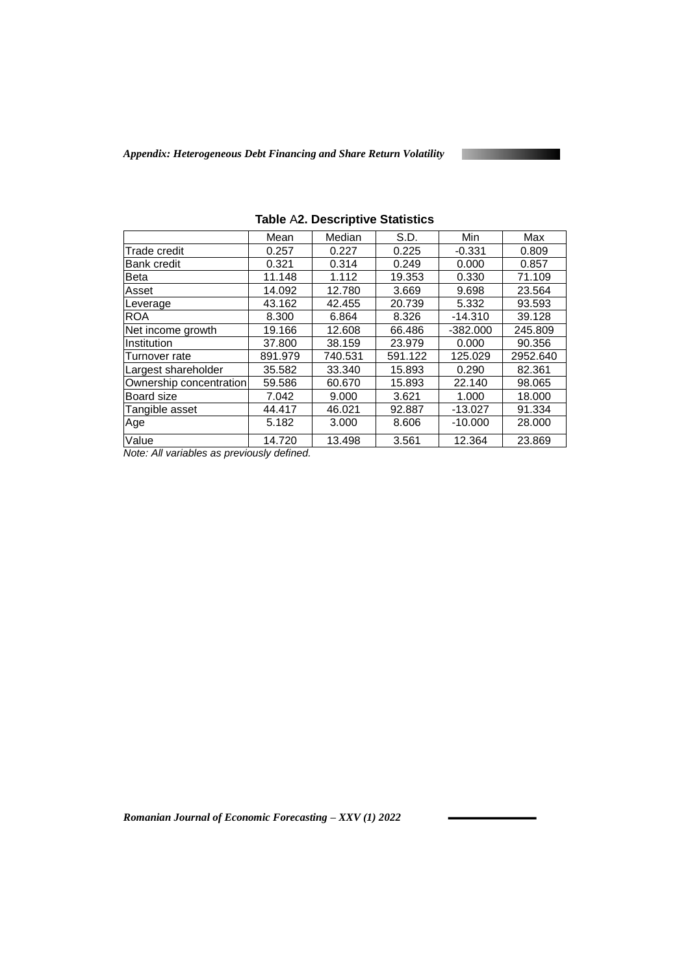*Appendix: Heterogeneous Debt Financing and Share Return Volatility*

|                         | Mean    | Median  | S.D.    | Min        | Max      |
|-------------------------|---------|---------|---------|------------|----------|
| <b>Trade credit</b>     | 0.257   | 0.227   | 0.225   | $-0.331$   | 0.809    |
| <b>Bank credit</b>      | 0.321   | 0.314   | 0.249   | 0.000      | 0.857    |
| <b>Beta</b>             | 11.148  | 1.112   | 19.353  | 0.330      | 71.109   |
| Asset                   | 14.092  | 12.780  | 3.669   | 9.698      | 23.564   |
| Leverage                | 43.162  | 42.455  | 20.739  | 5.332      | 93.593   |
| <b>ROA</b>              | 8.300   | 6.864   | 8.326   | $-14.310$  | 39.128   |
| Net income growth       | 19.166  | 12.608  | 66.486  | $-382.000$ | 245.809  |
| Institution             | 37,800  | 38.159  | 23.979  | 0.000      | 90.356   |
| Turnover rate           | 891.979 | 740.531 | 591.122 | 125.029    | 2952.640 |
| Largest shareholder     | 35.582  | 33.340  | 15.893  | 0.290      | 82.361   |
| Ownership concentration | 59.586  | 60.670  | 15.893  | 22.140     | 98.065   |
| Board size              | 7.042   | 9.000   | 3.621   | 1.000      | 18.000   |
| Tangible asset          | 44.417  | 46.021  | 92.887  | $-13.027$  | 91.334   |
| Age                     | 5.182   | 3.000   | 8.606   | $-10.000$  | 28,000   |
| Value                   | 14.720  | 13.498  | 3.561   | 12.364     | 23.869   |

**Table** A**2. Descriptive Statistics**

*Note: All variables as previously defined.*